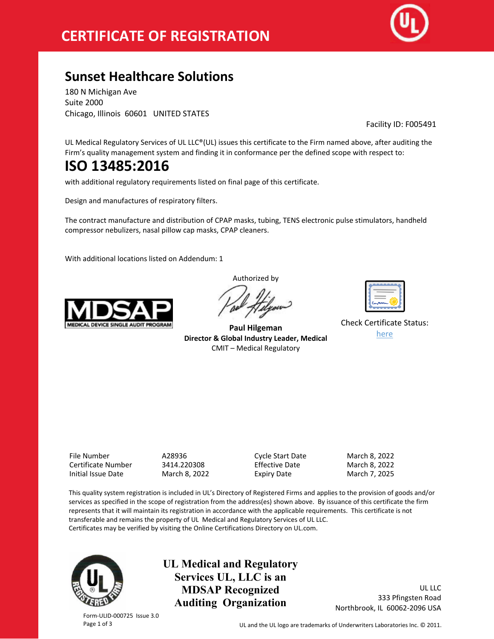

## **Sunset Healthcare Solutions**

180 N Michigan Ave Suite 2000 Chicago, Illinois 60601 UNITED STATES

Facility ID: F005491

UL Medical Regulatory Services of UL LLC®(UL) issues this certificate to the Firm named above, after auditing the Firm's quality management system and finding it in conformance per the defined scope with respect to:

# **ISO 13485:2016**

with additional regulatory requirements listed on final page of this certificate.

Design and manufactures of respiratory filters.

The contract manufacture and distribution of CPAP masks, tubing, TENS electronic pulse stimulators, handheld compressor nebulizers, nasal pillow cap masks, CPAP cleaners.

With additional locations listed on Addendum: 1



Authorized by

**Paul Hilgeman Director & Global Industry Leader, Medical** CMIT – Medical Regulatory

| ے<br>m |
|--------|
|        |

Check Certificate Status: [here](http://database.ul.com/certs/AZBA.A28936.pdf)

File Number A28936 Cycle Start Date March 8, 2022 Certificate Number Initial Issue Date March 8, 2022 Expiry Date March 7, 2025

This quality system registration is included in UL's Directory of Registered Firms and applies to the provision of goods and/or services as specified in the scope of registration from the address(es) shown above. By issuance of this certificate the firm represents that it will maintain its registration in accordance with the applicable requirements. This certificate is not transferable and remains the property of UL Medical and Regulatory Services of UL LLC. Certificates may be verified by visiting the Online Certifications Directory on UL.com.



Form-ULID-000725 Issue 3.0

**UL Medical and Regulatory Services UL, LLC is an MDSAP Recognized Auditing Organization**

UL LLC 333 Pfingsten Road Northbrook, IL 60062-2096 USA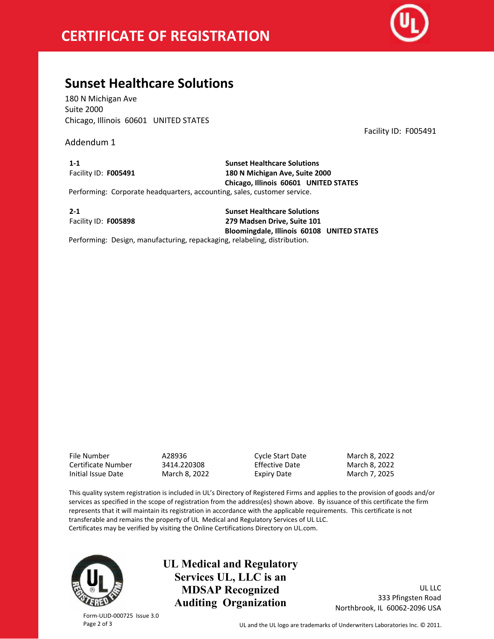

### **Sunset Healthcare Solutions**

180 N Michigan Ave Suite 2000 Chicago, Illinois 60601 UNITED STATES

Addendum 1

Facility ID: F005491

**1-1** Facility ID: **F005491**

**Sunset Healthcare Solutions 180 N Michigan Ave, Suite 2000 Chicago, Illinois 60601 UNITED STATES** Performing: Corporate headquarters, accounting, sales, customer service.

**2-1** Facility ID: **F005898**

**Sunset Healthcare Solutions 279 Madsen Drive, Suite 101 Bloomingdale, Illinois 60108 UNITED STATES**

Performing: Design, manufacturing, repackaging, relabeling, distribution.

File Number A28936 Cycle Start Date March 8, 2022 Certificate Number Initial Issue Date March 8, 2022 Expiry Date March 7, 2025

This quality system registration is included in UL's Directory of Registered Firms and applies to the provision of goods and/or services as specified in the scope of registration from the address(es) shown above. By issuance of this certificate the firm represents that it will maintain its registration in accordance with the applicable requirements. This certificate is not transferable and remains the property of UL Medical and Regulatory Services of UL LLC. Certificates may be verified by visiting the Online Certifications Directory on UL.com.



Form-ULID-000725 Issue 3.0

**UL Medical and Regulatory Services UL, LLC is an MDSAP Recognized Auditing Organization**

UL LLC 333 Pfingsten Road Northbrook, IL 60062-2096 USA